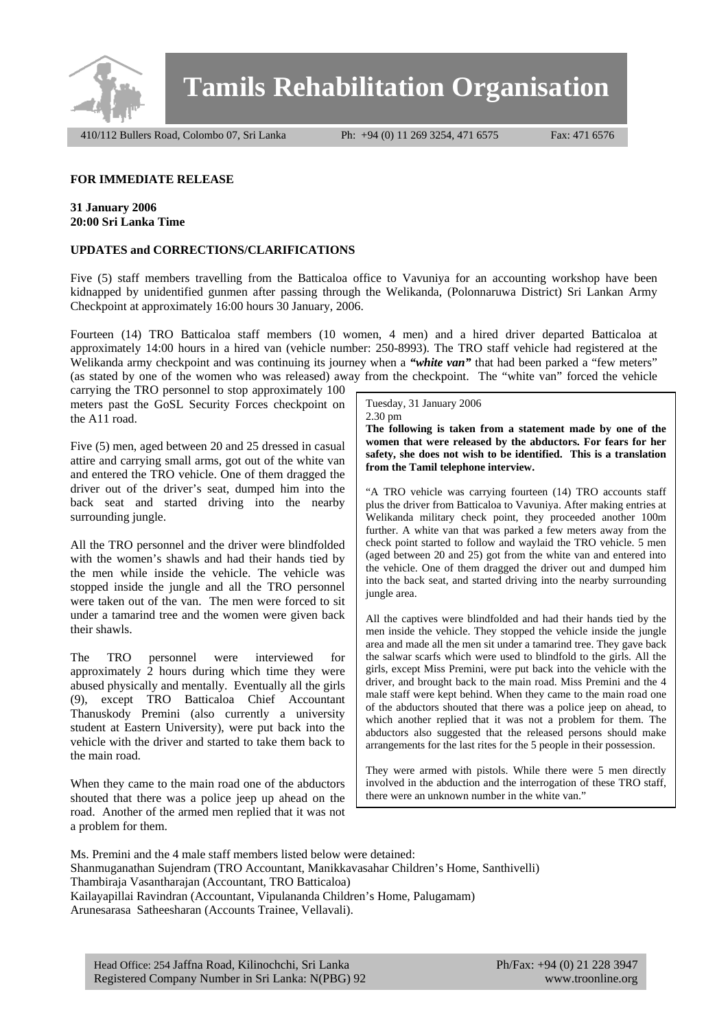

**Tamils Rehabilitation Organisation**

410/112 Bullers Road, Colombo 07, Sri Lanka Ph: +94 (0) 11 269 3254, 471 6575 Fax: 471 6576

## **FOR IMMEDIATE RELEASE**

## **31 January 2006 20:00 Sri Lanka Time**

## **UPDATES and CORRECTIONS/CLARIFICATIONS**

Five (5) staff members travelling from the Batticaloa office to Vavuniya for an accounting workshop have been kidnapped by unidentified gunmen after passing through the Welikanda, (Polonnaruwa District) Sri Lankan Army Checkpoint at approximately 16:00 hours 30 January, 2006.

Fourteen (14) TRO Batticaloa staff members (10 women, 4 men) and a hired driver departed Batticaloa at approximately 14:00 hours in a hired van (vehicle number: 250-8993). The TRO staff vehicle had registered at the Welikanda army checkpoint and was continuing its journey when a "*white van*" that had been parked a "few meters" (as stated by one of the women who was released) away from the checkpoint. The "white van" forced the vehicle

carrying the TRO personnel to stop approximately 100 meters past the GoSL Security Forces checkpoint on the A11 road.

Five (5) men, aged between 20 and 25 dressed in casual attire and carrying small arms, got out of the white van and entered the TRO vehicle. One of them dragged the driver out of the driver's seat, dumped him into the back seat and started driving into the nearby surrounding jungle.

All the TRO personnel and the driver were blindfolded with the women's shawls and had their hands tied by the men while inside the vehicle. The vehicle was stopped inside the jungle and all the TRO personnel were taken out of the van. The men were forced to sit under a tamarind tree and the women were given back their shawls.

The TRO personnel were interviewed for approximately 2 hours during which time they were abused physically and mentally. Eventually all the girls (9), except TRO Batticaloa Chief Accountant Thanuskody Premini (also currently a university student at Eastern University), were put back into the vehicle with the driver and started to take them back to the main road.

When they came to the main road one of the abductors shouted that there was a police jeep up ahead on the road. Another of the armed men replied that it was not a problem for them.

Tuesday, 31 January 2006 2.30 pm

**The following is taken from a statement made by one of the women that were released by the abductors. For fears for her safety, she does not wish to be identified. This is a translation from the Tamil telephone interview.** 

"A TRO vehicle was carrying fourteen (14) TRO accounts staff plus the driver from Batticaloa to Vavuniya. After making entries at Welikanda military check point, they proceeded another 100m further. A white van that was parked a few meters away from the check point started to follow and waylaid the TRO vehicle. 5 men (aged between 20 and 25) got from the white van and entered into the vehicle. One of them dragged the driver out and dumped him into the back seat, and started driving into the nearby surrounding jungle area.

All the captives were blindfolded and had their hands tied by the men inside the vehicle. They stopped the vehicle inside the jungle area and made all the men sit under a tamarind tree. They gave back the salwar scarfs which were used to blindfold to the girls. All the girls, except Miss Premini, were put back into the vehicle with the driver, and brought back to the main road. Miss Premini and the 4 male staff were kept behind. When they came to the main road one of the abductors shouted that there was a police jeep on ahead, to which another replied that it was not a problem for them. The abductors also suggested that the released persons should make arrangements for the last rites for the 5 people in their possession.

They were armed with pistols. While there were 5 men directly involved in the abduction and the interrogation of these TRO staff, there were an unknown number in the white van.'

Ms. Premini and the 4 male staff members listed below were detained: Shanmuganathan Sujendram (TRO Accountant, Manikkavasahar Children's Home, Santhivelli) Thambiraja Vasantharajan (Accountant, TRO Batticaloa) Kailayapillai Ravindran (Accountant, Vipulananda Children's Home, Palugamam) Arunesarasa Satheesharan (Accounts Trainee, Vellavali).

Head Office: 254 Jaffna Road, Kilinochchi, Sri Lanka Ph/Fax: +94 (0) 21 228 3947 Registered Company Number in Sri Lanka: N(PBG) 92 www.troonline.org